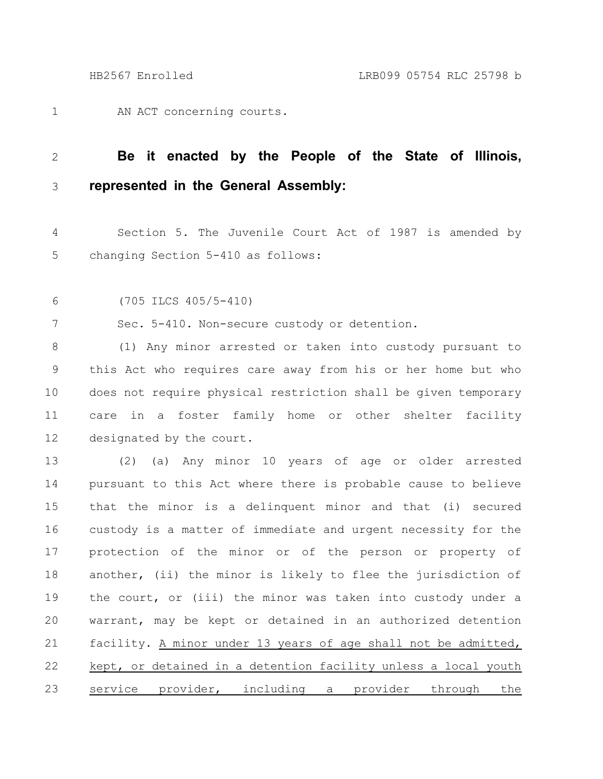AN ACT concerning courts. 1

## **Be it enacted by the People of the State of Illinois, represented in the General Assembly:** 2 3

Section 5. The Juvenile Court Act of 1987 is amended by changing Section 5-410 as follows: 4 5

(705 ILCS 405/5-410) 6

Sec. 5-410. Non-secure custody or detention. 7

(1) Any minor arrested or taken into custody pursuant to this Act who requires care away from his or her home but who does not require physical restriction shall be given temporary care in a foster family home or other shelter facility designated by the court. 8 9 10 11 12

(2) (a) Any minor 10 years of age or older arrested pursuant to this Act where there is probable cause to believe that the minor is a delinquent minor and that (i) secured custody is a matter of immediate and urgent necessity for the protection of the minor or of the person or property of another, (ii) the minor is likely to flee the jurisdiction of the court, or (iii) the minor was taken into custody under a warrant, may be kept or detained in an authorized detention facility. A minor under 13 years of age shall not be admitted, kept, or detained in a detention facility unless a local youth service provider, including a provider through the 13 14 15 16 17 18 19 20 21 22 23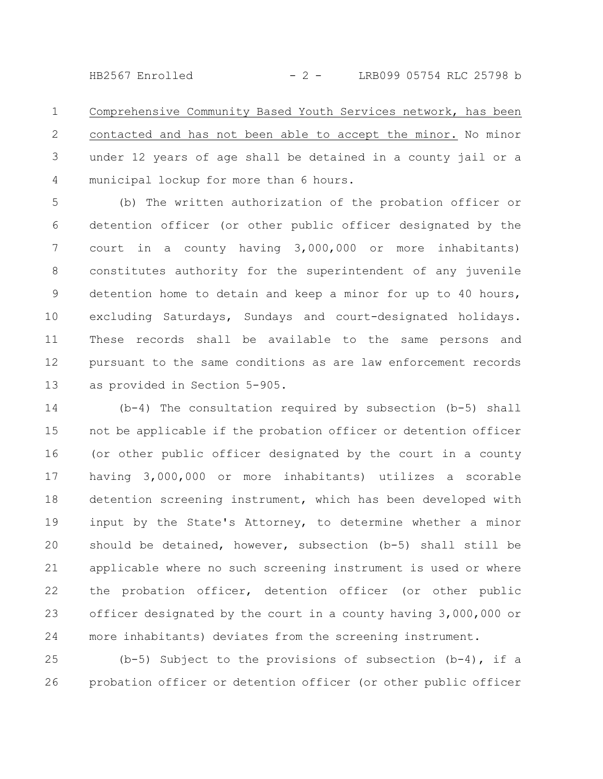HB2567 Enrolled - 2 - LRB099 05754 RLC 25798 b

Comprehensive Community Based Youth Services network, has been contacted and has not been able to accept the minor. No minor under 12 years of age shall be detained in a county jail or a municipal lockup for more than 6 hours. 1 2 3 4

(b) The written authorization of the probation officer or detention officer (or other public officer designated by the court in a county having 3,000,000 or more inhabitants) constitutes authority for the superintendent of any juvenile detention home to detain and keep a minor for up to 40 hours, excluding Saturdays, Sundays and court-designated holidays. These records shall be available to the same persons and pursuant to the same conditions as are law enforcement records as provided in Section 5-905. 5 6 7 8 9 10 11 12 13

(b-4) The consultation required by subsection (b-5) shall not be applicable if the probation officer or detention officer (or other public officer designated by the court in a county having 3,000,000 or more inhabitants) utilizes a scorable detention screening instrument, which has been developed with input by the State's Attorney, to determine whether a minor should be detained, however, subsection (b-5) shall still be applicable where no such screening instrument is used or where the probation officer, detention officer (or other public officer designated by the court in a county having 3,000,000 or more inhabitants) deviates from the screening instrument. 14 15 16 17 18 19 20 21 22 23 24

(b-5) Subject to the provisions of subsection  $(b-4)$ , if a probation officer or detention officer (or other public officer 25 26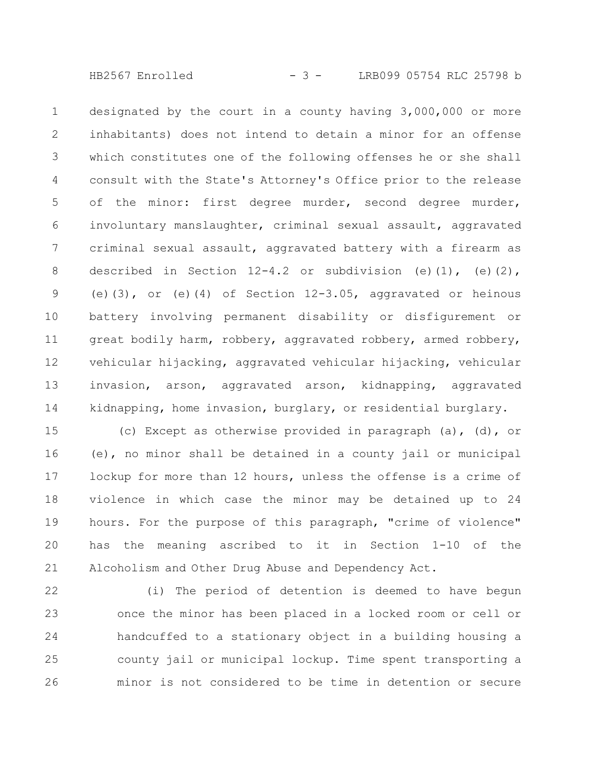HB2567 Enrolled - 3 - LRB099 05754 RLC 25798 b

designated by the court in a county having 3,000,000 or more inhabitants) does not intend to detain a minor for an offense which constitutes one of the following offenses he or she shall consult with the State's Attorney's Office prior to the release of the minor: first degree murder, second degree murder, involuntary manslaughter, criminal sexual assault, aggravated criminal sexual assault, aggravated battery with a firearm as described in Section  $12-4.2$  or subdivision (e)(1), (e)(2), (e)(3), or (e)(4) of Section  $12-3.05$ , aggravated or heinous battery involving permanent disability or disfigurement or great bodily harm, robbery, aggravated robbery, armed robbery, vehicular hijacking, aggravated vehicular hijacking, vehicular invasion, arson, aggravated arson, kidnapping, aggravated kidnapping, home invasion, burglary, or residential burglary. 1 2 3 4 5 6 7 8 9 10 11 12 13 14

(c) Except as otherwise provided in paragraph (a), (d), or (e), no minor shall be detained in a county jail or municipal lockup for more than 12 hours, unless the offense is a crime of violence in which case the minor may be detained up to 24 hours. For the purpose of this paragraph, "crime of violence" has the meaning ascribed to it in Section 1-10 of the Alcoholism and Other Drug Abuse and Dependency Act. 15 16 17 18 19 20 21

(i) The period of detention is deemed to have begun once the minor has been placed in a locked room or cell or handcuffed to a stationary object in a building housing a county jail or municipal lockup. Time spent transporting a minor is not considered to be time in detention or secure 22 23 24 25 26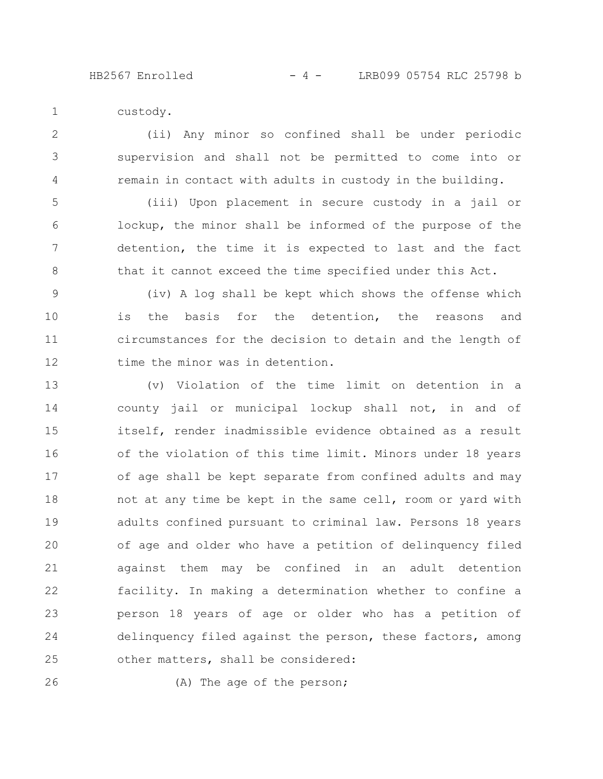HB2567 Enrolled

|  | -4- | LRB099 05754 RLC 25798 b |  |  |  |  |
|--|-----|--------------------------|--|--|--|--|
|--|-----|--------------------------|--|--|--|--|

custody. 1

(ii) Any minor so confined shall be under periodic supervision and shall not be permitted to come into or remain in contact with adults in custody in the building. 2 3 4

(iii) Upon placement in secure custody in a jail or lockup, the minor shall be informed of the purpose of the detention, the time it is expected to last and the fact that it cannot exceed the time specified under this Act. 5 6 7 8

(iv) A log shall be kept which shows the offense which is the basis for the detention, the reasons and circumstances for the decision to detain and the length of time the minor was in detention. 9 10 11 12

(v) Violation of the time limit on detention in a county jail or municipal lockup shall not, in and of itself, render inadmissible evidence obtained as a result of the violation of this time limit. Minors under 18 years of age shall be kept separate from confined adults and may not at any time be kept in the same cell, room or yard with adults confined pursuant to criminal law. Persons 18 years of age and older who have a petition of delinquency filed against them may be confined in an adult detention facility. In making a determination whether to confine a person 18 years of age or older who has a petition of delinquency filed against the person, these factors, among other matters, shall be considered: 13 14 15 16 17 18 19 20 21 22 23 24 25

26

(A) The age of the person;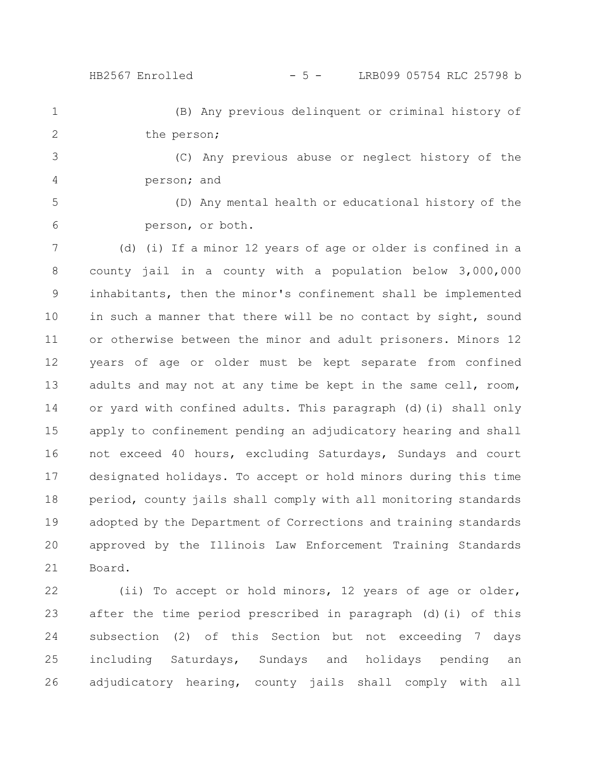(B) Any previous delinquent or criminal history of the person; 1 2

(C) Any previous abuse or neglect history of the person; and 3 4

(D) Any mental health or educational history of the person, or both. 5 6

(d) (i) If a minor 12 years of age or older is confined in a county jail in a county with a population below 3,000,000 inhabitants, then the minor's confinement shall be implemented in such a manner that there will be no contact by sight, sound or otherwise between the minor and adult prisoners. Minors 12 years of age or older must be kept separate from confined adults and may not at any time be kept in the same cell, room, or yard with confined adults. This paragraph (d)(i) shall only apply to confinement pending an adjudicatory hearing and shall not exceed 40 hours, excluding Saturdays, Sundays and court designated holidays. To accept or hold minors during this time period, county jails shall comply with all monitoring standards adopted by the Department of Corrections and training standards approved by the Illinois Law Enforcement Training Standards Board. 7 8 9 10 11 12 13 14 15 16 17 18 19 20 21

(ii) To accept or hold minors, 12 years of age or older, after the time period prescribed in paragraph (d)(i) of this subsection (2) of this Section but not exceeding 7 days including Saturdays, Sundays and holidays pending an adjudicatory hearing, county jails shall comply with all 22 23 24 25 26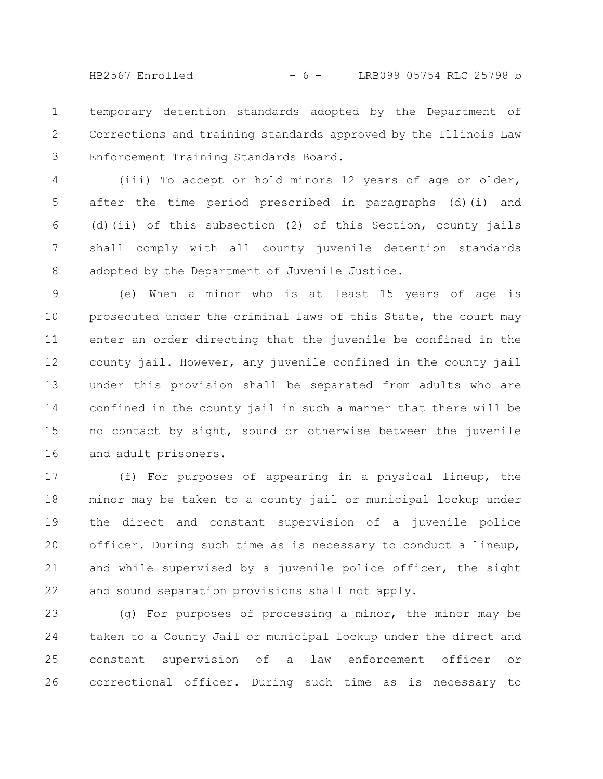HB2567 Enrolled - 6 - LRB099 05754 RLC 25798 b

temporary detention standards adopted by the Department of Corrections and training standards approved by the Illinois Law Enforcement Training Standards Board. 1 2 3

(iii) To accept or hold minors 12 years of age or older, after the time period prescribed in paragraphs (d)(i) and (d)(ii) of this subsection (2) of this Section, county jails shall comply with all county juvenile detention standards adopted by the Department of Juvenile Justice. 4 5 6 7 8

(e) When a minor who is at least 15 years of age is prosecuted under the criminal laws of this State, the court may enter an order directing that the juvenile be confined in the county jail. However, any juvenile confined in the county jail under this provision shall be separated from adults who are confined in the county jail in such a manner that there will be no contact by sight, sound or otherwise between the juvenile and adult prisoners. 9 10 11 12 13 14 15 16

(f) For purposes of appearing in a physical lineup, the minor may be taken to a county jail or municipal lockup under the direct and constant supervision of a juvenile police officer. During such time as is necessary to conduct a lineup, and while supervised by a juvenile police officer, the sight and sound separation provisions shall not apply. 17 18 19 20 21 22

(g) For purposes of processing a minor, the minor may be taken to a County Jail or municipal lockup under the direct and constant supervision of a law enforcement officer or correctional officer. During such time as is necessary to 23 24 25 26